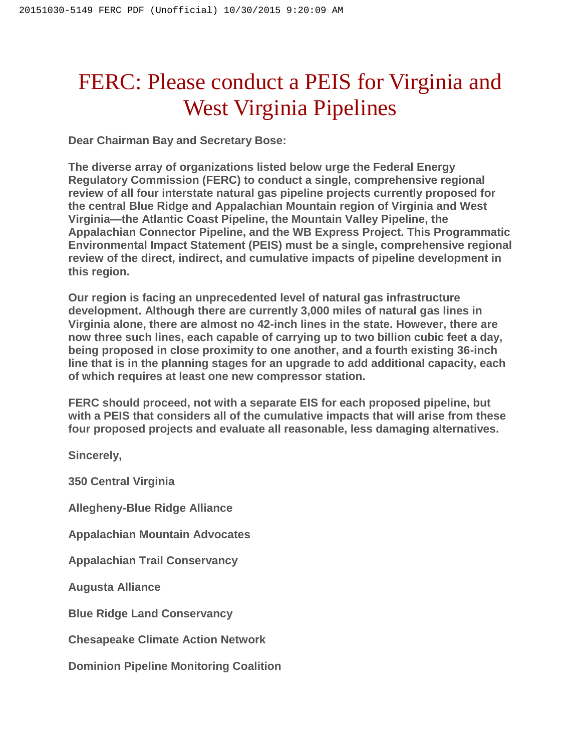## FERC: Please conduct a PEIS for Virginia and West Virginia Pipelines

**Dear Chairman Bay and Secretary Bose:**

**The diverse array of organizations listed below urge the Federal Energy Regulatory Commission (FERC) to conduct a single, comprehensive regional review of all four interstate natural gas pipeline projects currently proposed for the central Blue Ridge and Appalachian Mountain region of Virginia and West Virginia—the Atlantic Coast Pipeline, the Mountain Valley Pipeline, the Appalachian Connector Pipeline, and the WB Express Project. This Programmatic Environmental Impact Statement (PEIS) must be a single, comprehensive regional review of the direct, indirect, and cumulative impacts of pipeline development in this region.**

**Our region is facing an unprecedented level of natural gas infrastructure development. Although there are currently 3,000 miles of natural gas lines in Virginia alone, there are almost no 42-inch lines in the state. However, there are now three such lines, each capable of carrying up to two billion cubic feet a day, being proposed in close proximity to one another, and a fourth existing 36-inch line that is in the planning stages for an upgrade to add additional capacity, each of which requires at least one new compressor station.**

**FERC should proceed, not with a separate EIS for each proposed pipeline, but with a PEIS that considers all of the cumulative impacts that will arise from these four proposed projects and evaluate all reasonable, less damaging alternatives.** 

**Sincerely,**

**350 Central Virginia**

**Allegheny-Blue Ridge Alliance**

**Appalachian Mountain Advocates**

**Appalachian Trail Conservancy**

**Augusta Alliance**

**Blue Ridge Land Conservancy**

**Chesapeake Climate Action Network**

**Dominion Pipeline Monitoring Coalition**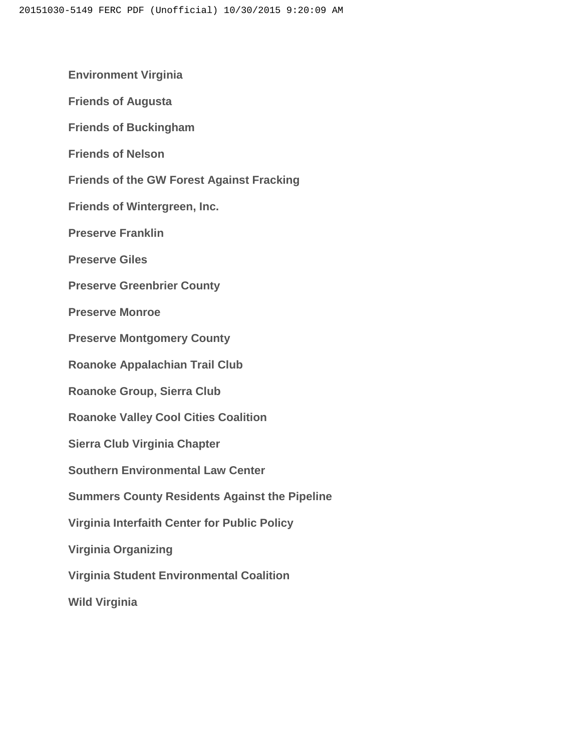**Environment Virginia Friends of Augusta Friends of Buckingham Friends of Nelson Friends of the GW Forest Against Fracking Friends of Wintergreen, Inc. Preserve Franklin Preserve Giles Preserve Greenbrier County Preserve Monroe Preserve Montgomery County Roanoke Appalachian Trail Club Roanoke Group, Sierra Club Roanoke Valley Cool Cities Coalition Sierra Club Virginia Chapter Southern Environmental Law Center Summers County Residents Against the Pipeline Virginia Interfaith Center for Public Policy Virginia Organizing Virginia Student Environmental Coalition Wild Virginia**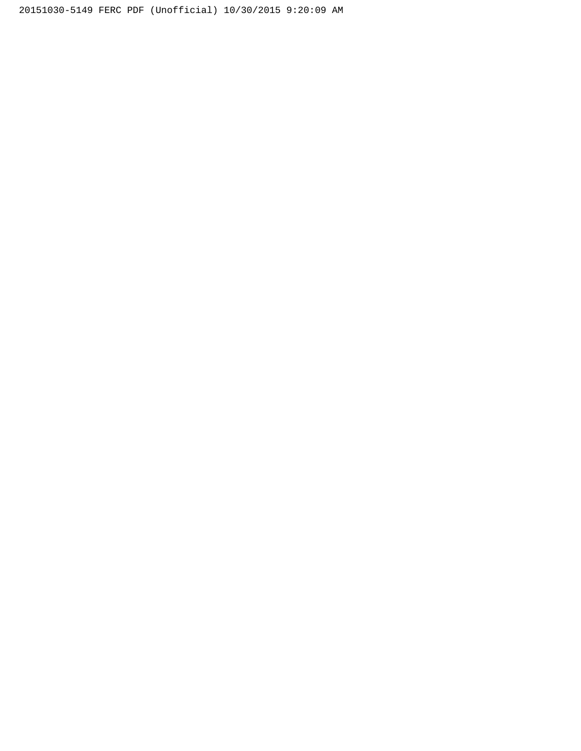20151030-5149 FERC PDF (Unofficial) 10/30/2015 9:20:09 AM